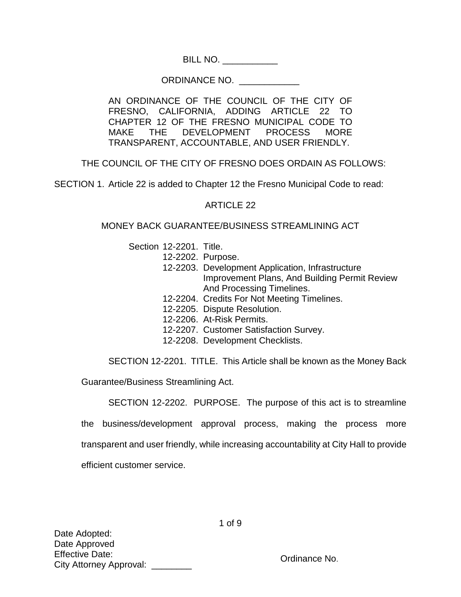BILL NO. \_\_\_\_\_\_\_\_\_\_\_

## ORDINANCE NO. \_\_\_\_\_\_\_\_\_\_\_\_

AN ORDINANCE OF THE COUNCIL OF THE CITY OF FRESNO, CALIFORNIA, ADDING ARTICLE 22 TO CHAPTER 12 OF THE FRESNO MUNICIPAL CODE TO MAKE THE DEVELOPMENT PROCESS MORE TRANSPARENT, ACCOUNTABLE, AND USER FRIENDLY.

THE COUNCIL OF THE CITY OF FRESNO DOES ORDAIN AS FOLLOWS:

SECTION 1. Article 22 is added to Chapter 12 the Fresno Municipal Code to read:

## ARTICLE 22

## MONEY BACK GUARANTEE/BUSINESS STREAMLINING ACT

Section 12-2201. Title.

- 12-2202. Purpose.
- 12-2203. Development Application, Infrastructure Improvement Plans, And Building Permit Review And Processing Timelines.
- 12-2204. Credits For Not Meeting Timelines.
- 12-2205. Dispute Resolution.
- 12-2206. At-Risk Permits.
- 12-2207. Customer Satisfaction Survey.
- 12-2208. Development Checklists.

SECTION 12-2201. TITLE. This Article shall be known as the Money Back

Guarantee/Business Streamlining Act.

SECTION 12-2202. PURPOSE. The purpose of this act is to streamline the business/development approval process, making the process more transparent and user friendly, while increasing accountability at City Hall to provide efficient customer service.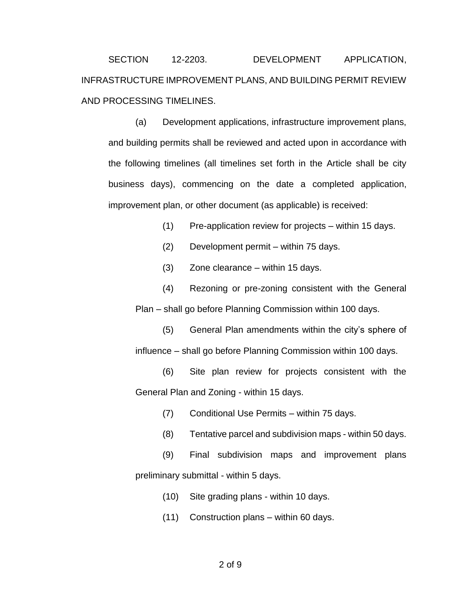SECTION 12-2203. DEVELOPMENT APPLICATION, INFRASTRUCTURE IMPROVEMENT PLANS, AND BUILDING PERMIT REVIEW AND PROCESSING TIMELINES.

(a) Development applications, infrastructure improvement plans, and building permits shall be reviewed and acted upon in accordance with the following timelines (all timelines set forth in the Article shall be city business days), commencing on the date a completed application, improvement plan, or other document (as applicable) is received:

(1) Pre-application review for projects – within 15 days.

(2) Development permit – within 75 days.

(3) Zone clearance – within 15 days.

(4) Rezoning or pre-zoning consistent with the General Plan – shall go before Planning Commission within 100 days.

(5) General Plan amendments within the city's sphere of influence – shall go before Planning Commission within 100 days.

(6) Site plan review for projects consistent with the General Plan and Zoning - within 15 days.

(7) Conditional Use Permits – within 75 days.

(8) Tentative parcel and subdivision maps - within 50 days.

(9) Final subdivision maps and improvement plans preliminary submittal - within 5 days.

(10) Site grading plans - within 10 days.

(11) Construction plans – within 60 days.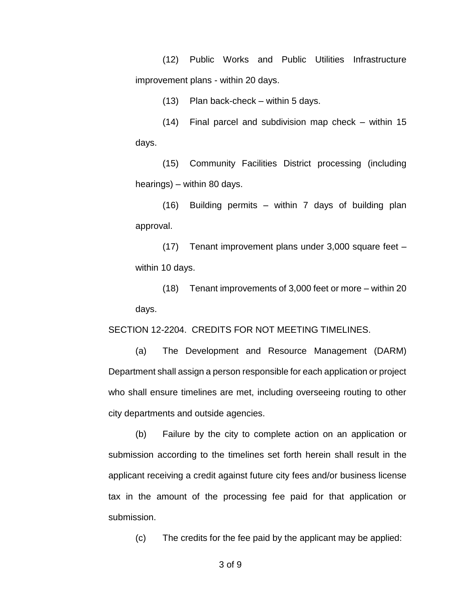(12) Public Works and Public Utilities Infrastructure improvement plans - within 20 days.

(13) Plan back-check – within 5 days.

(14) Final parcel and subdivision map check – within 15 days.

(15) Community Facilities District processing (including hearings) – within 80 days.

(16) Building permits – within 7 days of building plan approval.

(17) Tenant improvement plans under 3,000 square feet – within 10 days.

(18) Tenant improvements of 3,000 feet or more – within 20 days.

SECTION 12-2204. CREDITS FOR NOT MEETING TIMELINES.

(a) The Development and Resource Management (DARM) Department shall assign a person responsible for each application or project who shall ensure timelines are met, including overseeing routing to other city departments and outside agencies.

(b) Failure by the city to complete action on an application or submission according to the timelines set forth herein shall result in the applicant receiving a credit against future city fees and/or business license tax in the amount of the processing fee paid for that application or submission.

(c) The credits for the fee paid by the applicant may be applied:

3 of 9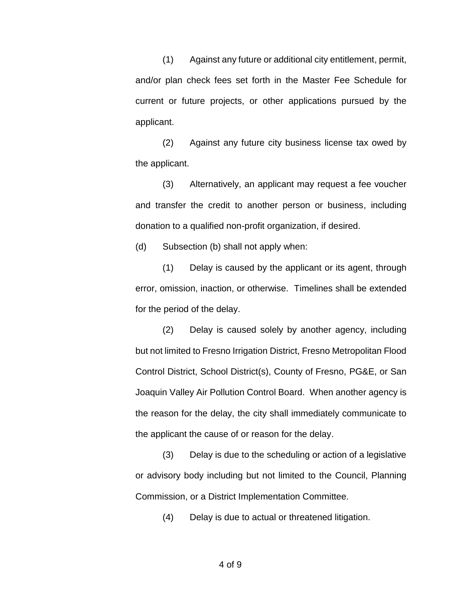(1) Against any future or additional city entitlement, permit, and/or plan check fees set forth in the Master Fee Schedule for current or future projects, or other applications pursued by the applicant.

(2) Against any future city business license tax owed by the applicant.

(3) Alternatively, an applicant may request a fee voucher and transfer the credit to another person or business, including donation to a qualified non-profit organization, if desired.

(d) Subsection (b) shall not apply when:

(1) Delay is caused by the applicant or its agent, through error, omission, inaction, or otherwise. Timelines shall be extended for the period of the delay.

(2) Delay is caused solely by another agency, including but not limited to Fresno Irrigation District, Fresno Metropolitan Flood Control District, School District(s), County of Fresno, PG&E, or San Joaquin Valley Air Pollution Control Board. When another agency is the reason for the delay, the city shall immediately communicate to the applicant the cause of or reason for the delay.

(3) Delay is due to the scheduling or action of a legislative or advisory body including but not limited to the Council, Planning Commission, or a District Implementation Committee.

(4) Delay is due to actual or threatened litigation.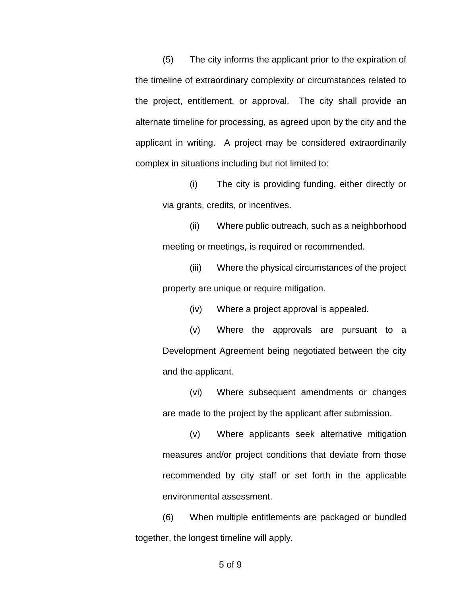(5) The city informs the applicant prior to the expiration of the timeline of extraordinary complexity or circumstances related to the project, entitlement, or approval. The city shall provide an alternate timeline for processing, as agreed upon by the city and the applicant in writing. A project may be considered extraordinarily complex in situations including but not limited to:

(i) The city is providing funding, either directly or via grants, credits, or incentives.

(ii) Where public outreach, such as a neighborhood meeting or meetings, is required or recommended.

(iii) Where the physical circumstances of the project property are unique or require mitigation.

(iv) Where a project approval is appealed.

(v) Where the approvals are pursuant to a Development Agreement being negotiated between the city and the applicant.

(vi) Where subsequent amendments or changes are made to the project by the applicant after submission.

(v) Where applicants seek alternative mitigation measures and/or project conditions that deviate from those recommended by city staff or set forth in the applicable environmental assessment.

(6) When multiple entitlements are packaged or bundled together, the longest timeline will apply.

## 5 of 9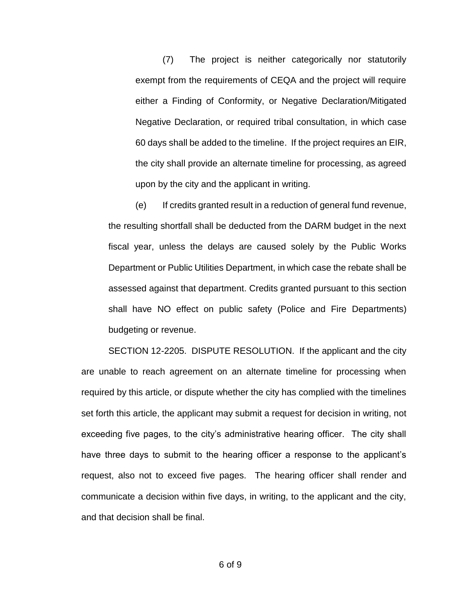(7) The project is neither categorically nor statutorily exempt from the requirements of CEQA and the project will require either a Finding of Conformity, or Negative Declaration/Mitigated Negative Declaration, or required tribal consultation, in which case 60 days shall be added to the timeline. If the project requires an EIR, the city shall provide an alternate timeline for processing, as agreed upon by the city and the applicant in writing.

(e) If credits granted result in a reduction of general fund revenue, the resulting shortfall shall be deducted from the DARM budget in the next fiscal year, unless the delays are caused solely by the Public Works Department or Public Utilities Department, in which case the rebate shall be assessed against that department. Credits granted pursuant to this section shall have NO effect on public safety (Police and Fire Departments) budgeting or revenue.

SECTION 12-2205. DISPUTE RESOLUTION. If the applicant and the city are unable to reach agreement on an alternate timeline for processing when required by this article, or dispute whether the city has complied with the timelines set forth this article, the applicant may submit a request for decision in writing, not exceeding five pages, to the city's administrative hearing officer. The city shall have three days to submit to the hearing officer a response to the applicant's request, also not to exceed five pages. The hearing officer shall render and communicate a decision within five days, in writing, to the applicant and the city, and that decision shall be final.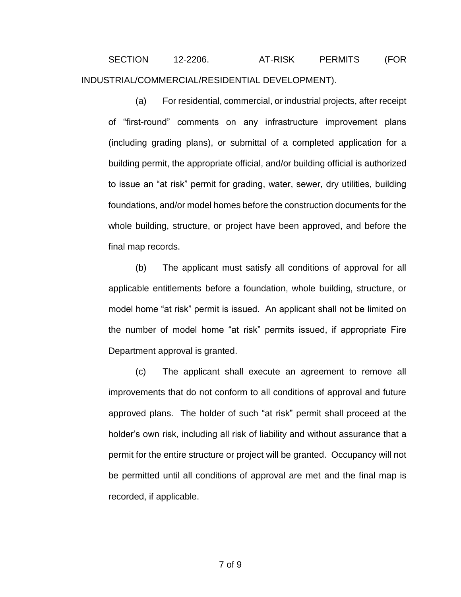SECTION 12-2206. AT-RISK PERMITS (FOR INDUSTRIAL/COMMERCIAL/RESIDENTIAL DEVELOPMENT).

(a) For residential, commercial, or industrial projects, after receipt of "first-round" comments on any infrastructure improvement plans (including grading plans), or submittal of a completed application for a building permit, the appropriate official, and/or building official is authorized to issue an "at risk" permit for grading, water, sewer, dry utilities, building foundations, and/or model homes before the construction documents for the whole building, structure, or project have been approved, and before the final map records.

(b) The applicant must satisfy all conditions of approval for all applicable entitlements before a foundation, whole building, structure, or model home "at risk" permit is issued. An applicant shall not be limited on the number of model home "at risk" permits issued, if appropriate Fire Department approval is granted.

(c) The applicant shall execute an agreement to remove all improvements that do not conform to all conditions of approval and future approved plans. The holder of such "at risk" permit shall proceed at the holder's own risk, including all risk of liability and without assurance that a permit for the entire structure or project will be granted. Occupancy will not be permitted until all conditions of approval are met and the final map is recorded, if applicable.

7 of 9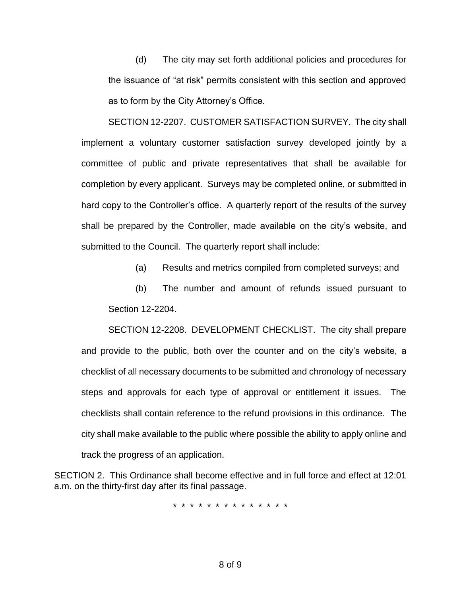(d) The city may set forth additional policies and procedures for the issuance of "at risk" permits consistent with this section and approved as to form by the City Attorney's Office.

SECTION 12-2207. CUSTOMER SATISFACTION SURVEY. The city shall implement a voluntary customer satisfaction survey developed jointly by a committee of public and private representatives that shall be available for completion by every applicant. Surveys may be completed online, or submitted in hard copy to the Controller's office. A quarterly report of the results of the survey shall be prepared by the Controller, made available on the city's website, and submitted to the Council. The quarterly report shall include:

(a) Results and metrics compiled from completed surveys; and

(b) The number and amount of refunds issued pursuant to Section 12-2204.

SECTION 12-2208. DEVELOPMENT CHECKLIST. The city shall prepare and provide to the public, both over the counter and on the city's website, a checklist of all necessary documents to be submitted and chronology of necessary steps and approvals for each type of approval or entitlement it issues. The checklists shall contain reference to the refund provisions in this ordinance. The city shall make available to the public where possible the ability to apply online and track the progress of an application.

SECTION 2. This Ordinance shall become effective and in full force and effect at 12:01 a.m. on the thirty-first day after its final passage.

\* \* \* \* \* \* \* \* \* \* \* \* \* \*